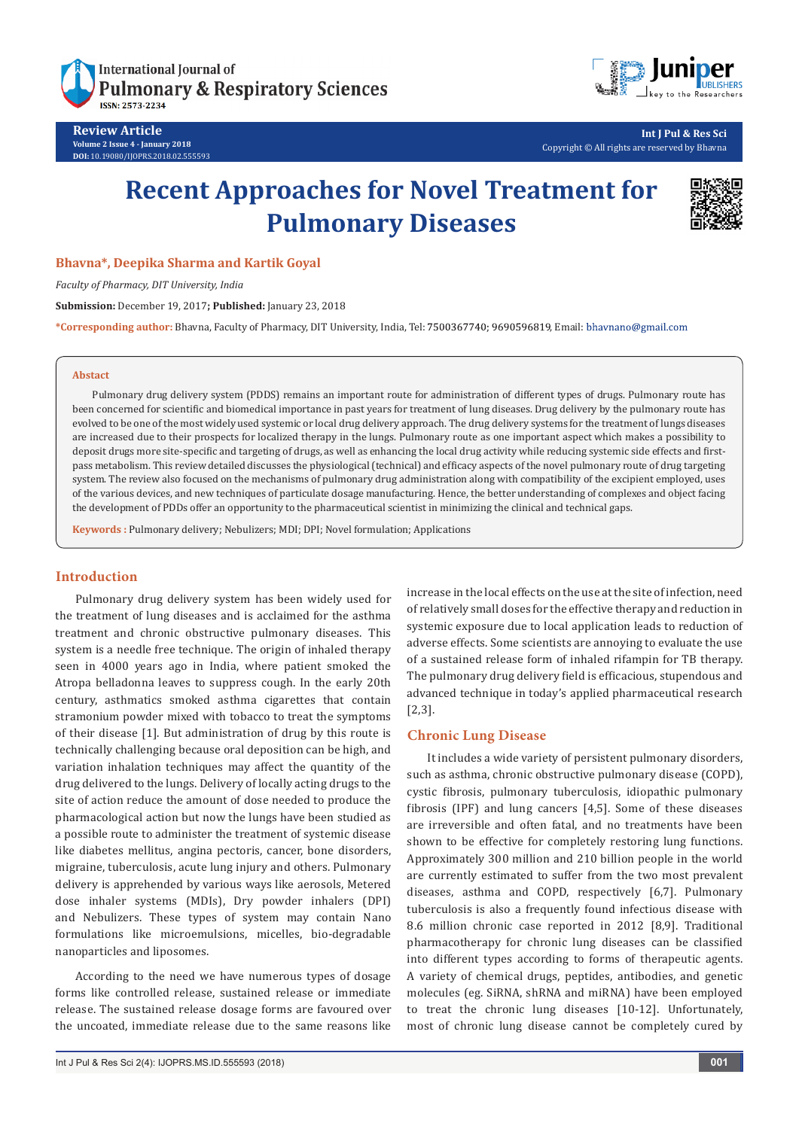

**Review Article Volume 2 Issue 4 - January 2018 DOI:** [10.19080/IJOPRS.2018.02.555593](http://dx.doi.org/10.19080/IJOPRS.2018.02.555593)



**Int J Pul & Res Sci** Copyright © All rights are reserved by Bhavna

# **Recent Approaches for Novel Treatment for Pulmonary Diseases**



## **Bhavna\*, Deepika Sharma and Kartik Goyal**

*Faculty of Pharmacy, DIT University, India*

**Submission:** December 19, 2017**; Published:** January 23, 2018

\*Corresponding author: Bhavna, Faculty of Pharmacy, DIT University, India, Tel: 7500367740; 9690596819, Email: bhavnano@gmail.com

#### **Abstact**

Pulmonary drug delivery system (PDDS) remains an important route for administration of different types of drugs. Pulmonary route has been concerned for scientific and biomedical importance in past years for treatment of lung diseases. Drug delivery by the pulmonary route has evolved to be one of the most widely used systemic or local drug delivery approach. The drug delivery systems for the treatment of lungs diseases are increased due to their prospects for localized therapy in the lungs. Pulmonary route as one important aspect which makes a possibility to deposit drugs more site-specific and targeting of drugs, as well as enhancing the local drug activity while reducing systemic side effects and firstpass metabolism. This review detailed discusses the physiological (technical) and efficacy aspects of the novel pulmonary route of drug targeting system. The review also focused on the mechanisms of pulmonary drug administration along with compatibility of the excipient employed, uses of the various devices, and new techniques of particulate dosage manufacturing. Hence, the better understanding of complexes and object facing the development of PDDs offer an opportunity to the pharmaceutical scientist in minimizing the clinical and technical gaps.

**Keywords :** Pulmonary delivery; Nebulizers; MDI; DPI; Novel formulation; Applications

#### **Introduction**

Pulmonary drug delivery system has been widely used for the treatment of lung diseases and is acclaimed for the asthma treatment and chronic obstructive pulmonary diseases. This system is a needle free technique. The origin of inhaled therapy seen in 4000 years ago in India, where patient smoked the Atropa belladonna leaves to suppress cough. In the early 20th century, asthmatics smoked asthma cigarettes that contain stramonium powder mixed with tobacco to treat the symptoms of their disease [1]. But administration of drug by this route is technically challenging because oral deposition can be high, and variation inhalation techniques may affect the quantity of the drug delivered to the lungs. Delivery of locally acting drugs to the site of action reduce the amount of dose needed to produce the pharmacological action but now the lungs have been studied as a possible route to administer the treatment of systemic disease like diabetes mellitus, angina pectoris, cancer, bone disorders, migraine, tuberculosis, acute lung injury and others. Pulmonary delivery is apprehended by various ways like aerosols, Metered dose inhaler systems (MDIs), Dry powder inhalers (DPI) and Nebulizers. These types of system may contain Nano formulations like microemulsions, micelles, bio-degradable nanoparticles and liposomes.

According to the need we have numerous types of dosage forms like controlled release, sustained release or immediate release. The sustained release dosage forms are favoured over the uncoated, immediate release due to the same reasons like

increase in the local effects on the use at the site of infection, need of relatively small doses for the effective therapy and reduction in systemic exposure due to local application leads to reduction of adverse effects. Some scientists are annoying to evaluate the use of a sustained release form of inhaled rifampin for TB therapy. The pulmonary drug delivery field is efficacious, stupendous and advanced technique in today's applied pharmaceutical research [2,3].

#### **Chronic Lung Disease**

It includes a wide variety of persistent pulmonary disorders, such as asthma, chronic obstructive pulmonary disease (COPD), cystic fibrosis, pulmonary tuberculosis, idiopathic pulmonary fibrosis (IPF) and lung cancers [4,5]. Some of these diseases are irreversible and often fatal, and no treatments have been shown to be effective for completely restoring lung functions. Approximately 300 million and 210 billion people in the world are currently estimated to suffer from the two most prevalent diseases, asthma and COPD, respectively [6,7]. Pulmonary tuberculosis is also a frequently found infectious disease with 8.6 million chronic case reported in 2012 [8,9]. Traditional pharmacotherapy for chronic lung diseases can be classified into different types according to forms of therapeutic agents. A variety of chemical drugs, peptides, antibodies, and genetic molecules (eg. SiRNA, shRNA and miRNA) have been employed to treat the chronic lung diseases [10-12]. Unfortunately, most of chronic lung disease cannot be completely cured by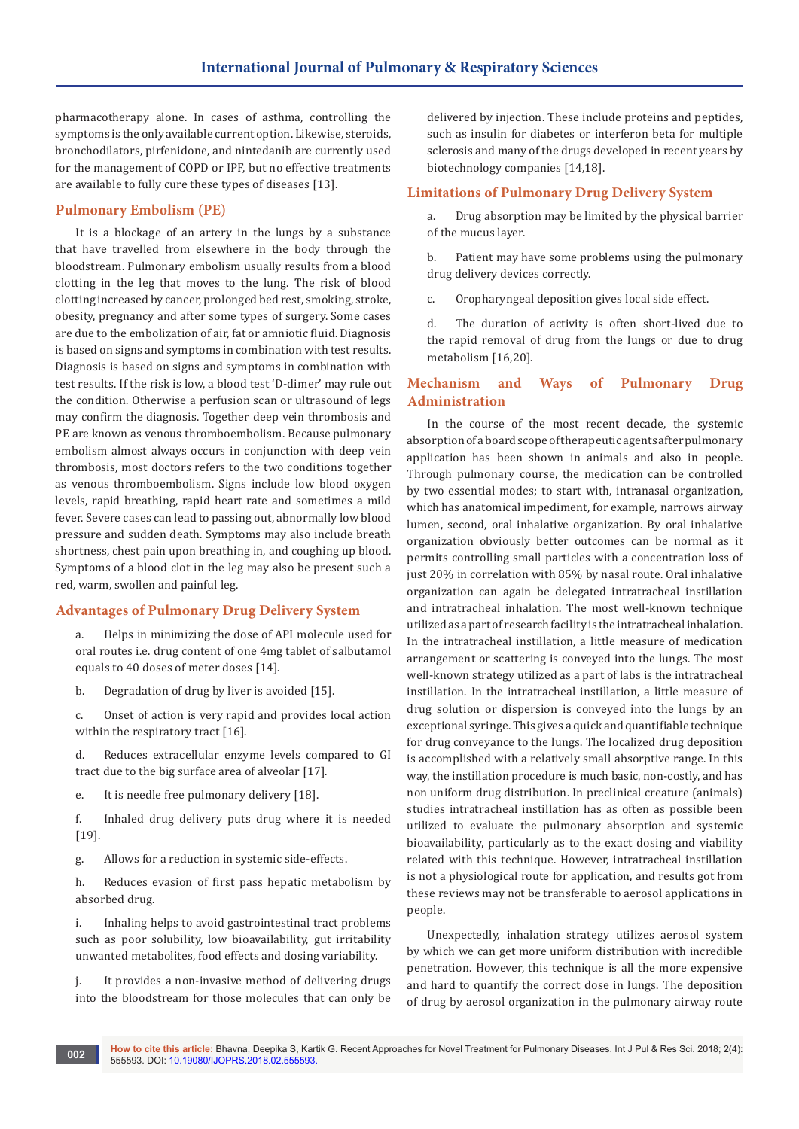pharmacotherapy alone. In cases of asthma, controlling the symptoms is the only available current option. Likewise, steroids, bronchodilators, pirfenidone, and nintedanib are currently used for the management of COPD or IPF, but no effective treatments are available to fully cure these types of diseases [13].

## **Pulmonary Embolism (PE)**

It is a blockage of an artery in the lungs by a substance that have travelled from elsewhere in the body through the bloodstream. Pulmonary embolism usually results from a blood clotting in the leg that moves to the lung. The risk of blood clotting increased by cancer, prolonged bed rest, smoking, stroke, obesity, pregnancy and after some types of surgery. Some cases are due to the embolization of air, fat or amniotic fluid. Diagnosis is based on signs and symptoms in combination with test results. Diagnosis is based on signs and symptoms in combination with test results. If the risk is low, a blood test 'D-dimer' may rule out the condition. Otherwise a perfusion scan or ultrasound of legs may confirm the diagnosis. Together deep vein thrombosis and PE are known as venous thromboembolism. Because pulmonary embolism almost always occurs in conjunction with deep vein thrombosis, most doctors refers to the two conditions together as venous thromboembolism. Signs include low blood oxygen levels, rapid breathing, rapid heart rate and sometimes a mild fever. Severe cases can lead to passing out, abnormally low blood pressure and sudden death. Symptoms may also include breath shortness, chest pain upon breathing in, and coughing up blood. Symptoms of a blood clot in the leg may also be present such a red, warm, swollen and painful leg.

## **Advantages of Pulmonary Drug Delivery System**

a. Helps in minimizing the dose of API molecule used for oral routes i.e. drug content of one 4mg tablet of salbutamol equals to 40 doses of meter doses [14].

b. Degradation of drug by liver is avoided [15].

c. Onset of action is very rapid and provides local action within the respiratory tract [16].

d. Reduces extracellular enzyme levels compared to GI tract due to the big surface area of alveolar [17].

e. It is needle free pulmonary delivery [18].

f. Inhaled drug delivery puts drug where it is needed [19].

g. Allows for a reduction in systemic side-effects.

h. Reduces evasion of first pass hepatic metabolism by absorbed drug.

i. Inhaling helps to avoid gastrointestinal tract problems such as poor solubility, low bioavailability, gut irritability unwanted metabolites, food effects and dosing variability.

j. It provides a non-invasive method of delivering drugs into the bloodstream for those molecules that can only be

delivered by injection. These include proteins and peptides, such as insulin for diabetes or interferon beta for multiple sclerosis and many of the drugs developed in recent years by biotechnology companies [14,18].

## **Limitations of Pulmonary Drug Delivery System**

a. Drug absorption may be limited by the physical barrier of the mucus layer.

b. Patient may have some problems using the pulmonary drug delivery devices correctly.

c. Oropharyngeal deposition gives local side effect.

d. The duration of activity is often short-lived due to the rapid removal of drug from the lungs or due to drug metabolism [16,20].

## **Mechanism and Ways of Pulmonary Drug Administration**

In the course of the most recent decade, the systemic absorption of a board scope of therapeutic agents after pulmonary application has been shown in animals and also in people. Through pulmonary course, the medication can be controlled by two essential modes; to start with, intranasal organization, which has anatomical impediment, for example, narrows airway lumen, second, oral inhalative organization. By oral inhalative organization obviously better outcomes can be normal as it permits controlling small particles with a concentration loss of just 20% in correlation with 85% by nasal route. Oral inhalative organization can again be delegated intratracheal instillation and intratracheal inhalation. The most well-known technique utilized as a part of research facility is the intratracheal inhalation. In the intratracheal instillation, a little measure of medication arrangement or scattering is conveyed into the lungs. The most well-known strategy utilized as a part of labs is the intratracheal instillation. In the intratracheal instillation, a little measure of drug solution or dispersion is conveyed into the lungs by an exceptional syringe. This gives a quick and quantifiable technique for drug conveyance to the lungs. The localized drug deposition is accomplished with a relatively small absorptive range. In this way, the instillation procedure is much basic, non-costly, and has non uniform drug distribution. In preclinical creature (animals) studies intratracheal instillation has as often as possible been utilized to evaluate the pulmonary absorption and systemic bioavailability, particularly as to the exact dosing and viability related with this technique. However, intratracheal instillation is not a physiological route for application, and results got from these reviews may not be transferable to aerosol applications in people.

Unexpectedly, inhalation strategy utilizes aerosol system by which we can get more uniform distribution with incredible penetration. However, this technique is all the more expensive and hard to quantify the correct dose in lungs. The deposition of drug by aerosol organization in the pulmonary airway route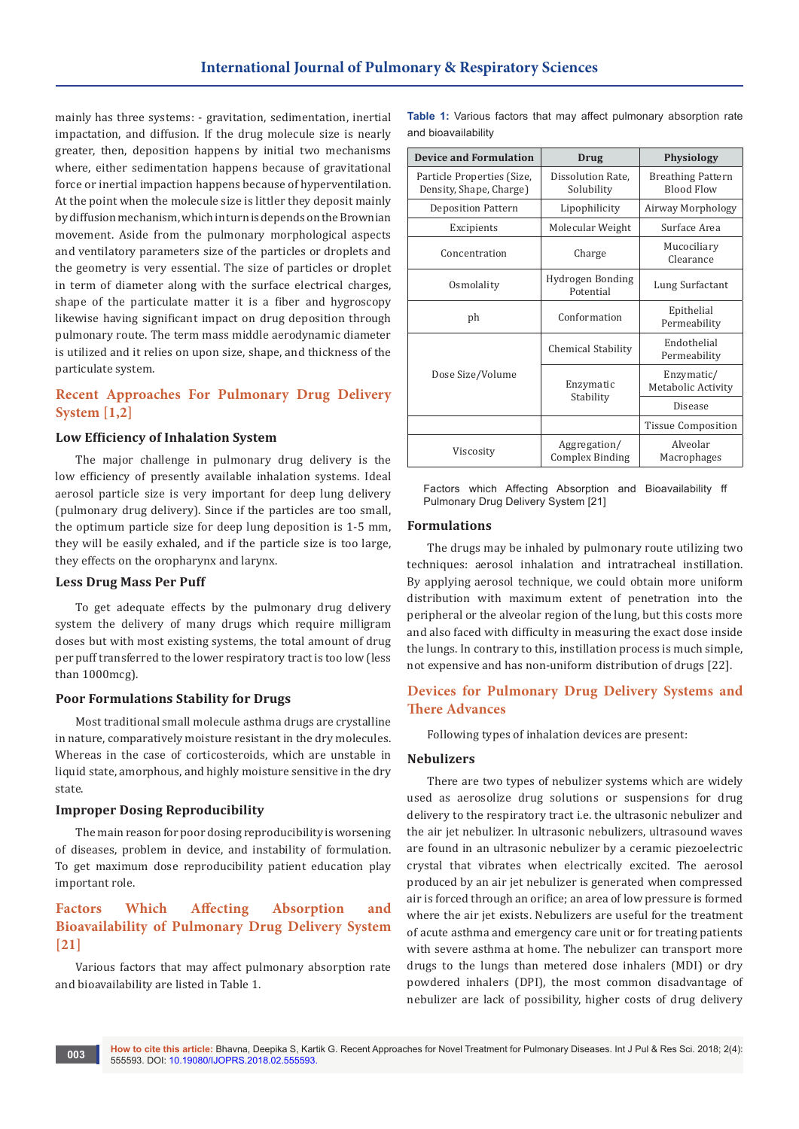mainly has three systems: - gravitation, sedimentation, inertial impactation, and diffusion. If the drug molecule size is nearly greater, then, deposition happens by initial two mechanisms where, either sedimentation happens because of gravitational force or inertial impaction happens because of hyperventilation. At the point when the molecule size is littler they deposit mainly by diffusion mechanism, which in turn is depends on the Brownian movement. Aside from the pulmonary morphological aspects and ventilatory parameters size of the particles or droplets and the geometry is very essential. The size of particles or droplet in term of diameter along with the surface electrical charges, shape of the particulate matter it is a fiber and hygroscopy likewise having significant impact on drug deposition through pulmonary route. The term mass middle aerodynamic diameter is utilized and it relies on upon size, shape, and thickness of the particulate system.

# **Recent Approaches For Pulmonary Drug Delivery System [1,2]**

## **Low Efficiency of Inhalation System**

The major challenge in pulmonary drug delivery is the low efficiency of presently available inhalation systems. Ideal aerosol particle size is very important for deep lung delivery (pulmonary drug delivery). Since if the particles are too small, the optimum particle size for deep lung deposition is 1-5 mm, they will be easily exhaled, and if the particle size is too large, they effects on the oropharynx and larynx.

#### **Less Drug Mass Per Puff**

To get adequate effects by the pulmonary drug delivery system the delivery of many drugs which require milligram doses but with most existing systems, the total amount of drug per puff transferred to the lower respiratory tract is too low (less than 1000mcg).

#### **Poor Formulations Stability for Drugs**

Most traditional small molecule asthma drugs are crystalline in nature, comparatively moisture resistant in the dry molecules. Whereas in the case of corticosteroids, which are unstable in liquid state, amorphous, and highly moisture sensitive in the dry state.

#### **Improper Dosing Reproducibility**

The main reason for poor dosing reproducibility is worsening of diseases, problem in device, and instability of formulation. To get maximum dose reproducibility patient education play important role.

# **Factors Which Affecting Absorption and Bioavailability of Pulmonary Drug Delivery System [21]**

Various factors that may affect pulmonary absorption rate and bioavailability are listed in Table 1.

**Table 1:** Various factors that may affect pulmonary absorption rate and bioavailability

| <b>Device and Formulation</b>                         | <b>Drug</b>                            | <b>Physiology</b>                      |
|-------------------------------------------------------|----------------------------------------|----------------------------------------|
| Particle Properties (Size,<br>Density, Shape, Charge) | Dissolution Rate,<br>Solubility        | <b>Breathing Pattern</b><br>Blood Flow |
| <b>Deposition Pattern</b>                             | Lipophilicity                          | Airway Morphology                      |
| Excipients                                            | Molecular Weight                       | Surface Area                           |
| Concentration                                         | Charge                                 | Mucociliary<br>Clearance               |
| Osmolality                                            | Hydrogen Bonding<br>Potential          | Lung Surfactant                        |
| ph                                                    | Conformation                           | Epithelial<br>Permeability             |
| Dose Size/Volume                                      | Chemical Stability                     | Endothelial<br>Permeability            |
|                                                       | Enzymatic<br>Stability                 | Enzymatic/<br>Metabolic Activity       |
|                                                       |                                        | Disease                                |
|                                                       |                                        | <b>Tissue Composition</b>              |
| Viscosity                                             | Aggregation/<br><b>Complex Binding</b> | Alveolar<br>Macrophages                |

Factors which Affecting Absorption and Bioavailability ff Pulmonary Drug Delivery System [21]

#### **Formulations**

The drugs may be inhaled by pulmonary route utilizing two techniques: aerosol inhalation and intratracheal instillation. By applying aerosol technique, we could obtain more uniform distribution with maximum extent of penetration into the peripheral or the alveolar region of the lung, but this costs more and also faced with difficulty in measuring the exact dose inside the lungs. In contrary to this, instillation process is much simple, not expensive and has non-uniform distribution of drugs [22].

# **Devices for Pulmonary Drug Delivery Systems and There Advances**

Following types of inhalation devices are present:

#### **Nebulizers**

There are two types of nebulizer systems which are widely used as aerosolize drug solutions or suspensions for drug delivery to the respiratory tract i.e. the ultrasonic nebulizer and the air jet nebulizer. In ultrasonic nebulizers, ultrasound waves are found in an ultrasonic nebulizer by a ceramic piezoelectric crystal that vibrates when electrically excited. The aerosol produced by an air jet nebulizer is generated when compressed air is forced through an orifice; an area of low pressure is formed where the air jet exists. Nebulizers are useful for the treatment of acute asthma and emergency care unit or for treating patients with severe asthma at home. The nebulizer can transport more drugs to the lungs than metered dose inhalers (MDI) or dry powdered inhalers (DPI), the most common disadvantage of nebulizer are lack of possibility, higher costs of drug delivery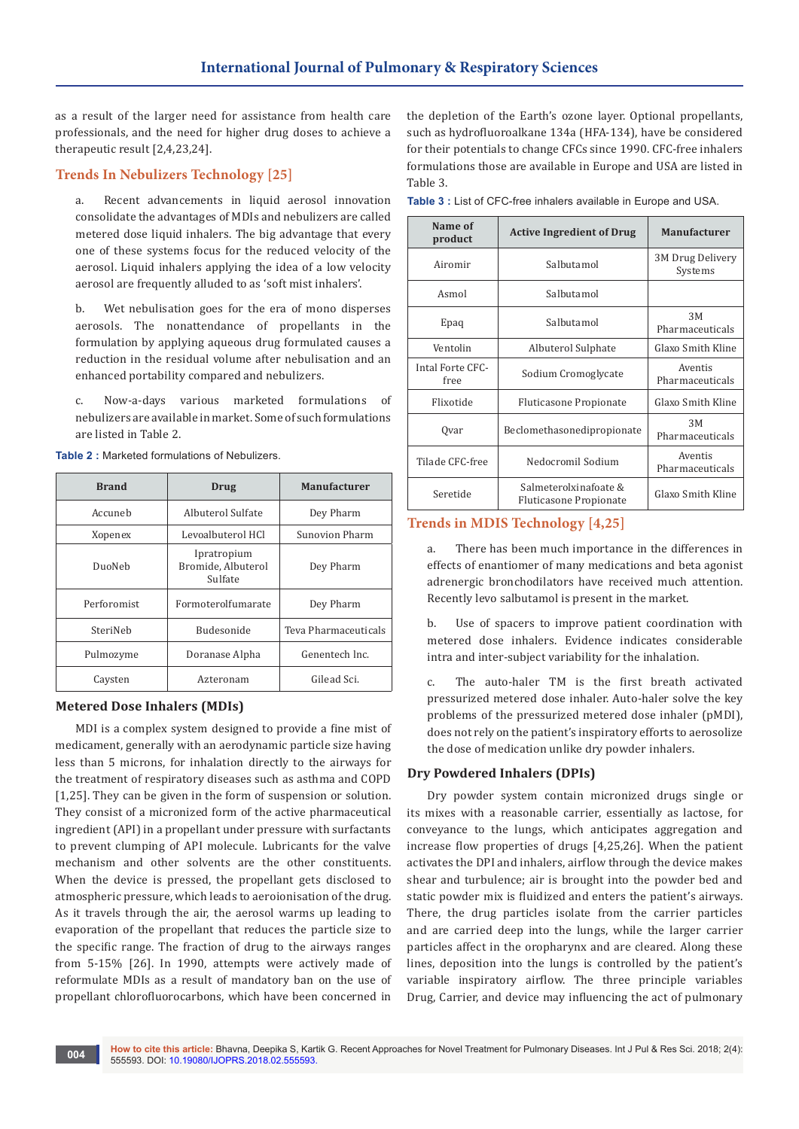as a result of the larger need for assistance from health care professionals, and the need for higher drug doses to achieve a therapeutic result [2,4,23,24].

## **Trends In Nebulizers Technology [25]**

a. Recent advancements in liquid aerosol innovation consolidate the advantages of MDIs and nebulizers are called metered dose liquid inhalers. The big advantage that every one of these systems focus for the reduced velocity of the aerosol. Liquid inhalers applying the idea of a low velocity aerosol are frequently alluded to as 'soft mist inhalers'.

b. Wet nebulisation goes for the era of mono disperses aerosols. The nonattendance of propellants in the formulation by applying aqueous drug formulated causes a reduction in the residual volume after nebulisation and an enhanced portability compared and nebulizers.

c. Now-a-days various marketed formulations of nebulizers are available in market. Some of such formulations are listed in Table 2.

| <b>Brand</b> | Drug                                         | <b>Manufacturer</b>  |
|--------------|----------------------------------------------|----------------------|
| Accuneb      | Albuterol Sulfate                            | Dey Pharm            |
| Xopenex      | Levoalbuterol HCl                            | Sunovion Pharm       |
| DuoNeb       | Ipratropium<br>Bromide, Albuterol<br>Sulfate | Dey Pharm            |
| Perforomist  | Formoterolfumarate                           | Dey Pharm            |
| SteriNeb     | Budesonide                                   | Teva Pharmaceuticals |
| Pulmozyme    | Doranase Alpha                               | Genentech Inc.       |
| Caysten      | Azteronam                                    | Gilead Sci.          |

**Table 2 :** Marketed formulations of Nebulizers.

## **Metered Dose Inhalers (MDIs)**

MDI is a complex system designed to provide a fine mist of medicament, generally with an aerodynamic particle size having less than 5 microns, for inhalation directly to the airways for the treatment of respiratory diseases such as asthma and COPD [1,25]. They can be given in the form of suspension or solution. They consist of a micronized form of the active pharmaceutical ingredient (API) in a propellant under pressure with surfactants to prevent clumping of API molecule. Lubricants for the valve mechanism and other solvents are the other constituents. When the device is pressed, the propellant gets disclosed to atmospheric pressure, which leads to aeroionisation of the drug. As it travels through the air, the aerosol warms up leading to evaporation of the propellant that reduces the particle size to the specific range. The fraction of drug to the airways ranges from 5-15% [26]. In 1990, attempts were actively made of reformulate MDIs as a result of mandatory ban on the use of propellant chlorofluorocarbons, which have been concerned in

the depletion of the Earth's ozone layer. Optional propellants, such as hydrofluoroalkane 134a (HFA-134), have be considered for their potentials to change CFCs since 1990. CFC-free inhalers formulations those are available in Europe and USA are listed in Table 3.

**Table 3 :** List of CFC-free inhalers available in Europe and USA.

| Name of<br>product       | <b>Active Ingredient of Drug</b>                | <b>Manufacturer</b>         |
|--------------------------|-------------------------------------------------|-----------------------------|
| Airomir                  | Salbutamol                                      | 3M Drug Delivery<br>Systems |
| Asmol                    | Salbutamol                                      |                             |
| Epaq                     | Salbutamol                                      | 3M<br>Pharmaceuticals       |
| Ventolin                 | Albuterol Sulphate                              | Glaxo Smith Kline           |
| Intal Forte CFC-<br>free | Sodium Cromoglycate                             | Aventis<br>Pharmaceuticals  |
| Flixotide                | Fluticasone Propionate                          | Glaxo Smith Kline           |
| Qvar                     | Beclomethasonedipropionate                      | 3M<br>Pharmaceuticals       |
| Tilade CFC-free          | Nedocromil Sodium                               | Aventis<br>Pharmaceuticals  |
| Seretide                 | Salmeterolxinafoate &<br>Fluticasone Propionate | Glaxo Smith Kline           |

## **Trends in MDIS Technology [4,25]**

a. There has been much importance in the differences in effects of enantiomer of many medications and beta agonist adrenergic bronchodilators have received much attention. Recently levo salbutamol is present in the market.

b. Use of spacers to improve patient coordination with metered dose inhalers. Evidence indicates considerable intra and inter-subject variability for the inhalation.

c. The auto-haler TM is the first breath activated pressurized metered dose inhaler. Auto-haler solve the key problems of the pressurized metered dose inhaler (pMDI), does not rely on the patient's inspiratory efforts to aerosolize the dose of medication unlike dry powder inhalers.

#### **Dry Powdered Inhalers (DPIs)**

Dry powder system contain micronized drugs single or its mixes with a reasonable carrier, essentially as lactose, for conveyance to the lungs, which anticipates aggregation and increase flow properties of drugs [4,25,26]. When the patient activates the DPI and inhalers, airflow through the device makes shear and turbulence; air is brought into the powder bed and static powder mix is fluidized and enters the patient's airways. There, the drug particles isolate from the carrier particles and are carried deep into the lungs, while the larger carrier particles affect in the oropharynx and are cleared. Along these lines, deposition into the lungs is controlled by the patient's variable inspiratory airflow. The three principle variables Drug, Carrier, and device may influencing the act of pulmonary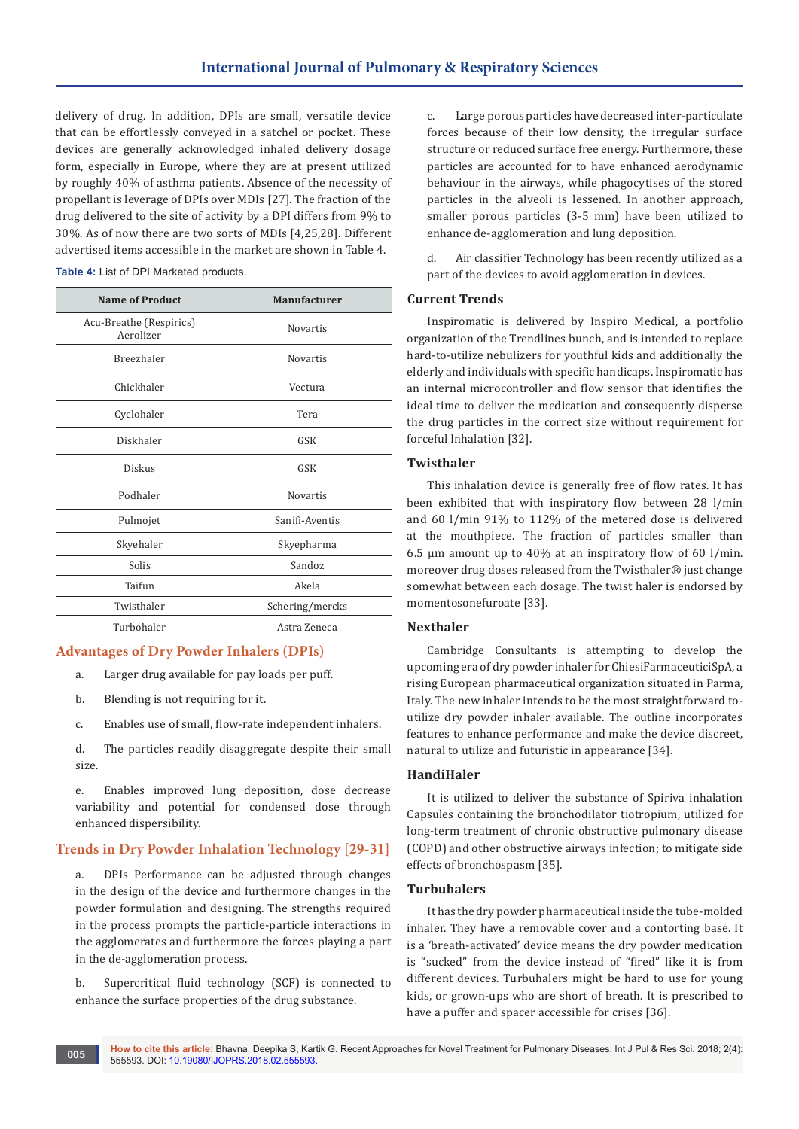delivery of drug. In addition, DPIs are small, versatile device that can be effortlessly conveyed in a satchel or pocket. These devices are generally acknowledged inhaled delivery dosage form, especially in Europe, where they are at present utilized by roughly 40% of asthma patients. Absence of the necessity of propellant is leverage of DPIs over MDIs [27]. The fraction of the drug delivered to the site of activity by a DPI differs from 9% to 30%. As of now there are two sorts of MDIs [4,25,28]. Different advertised items accessible in the market are shown in Table 4.

| Table 4: List of DPI Marketed products. |  |
|-----------------------------------------|--|
|-----------------------------------------|--|

| <b>Name of Product</b>               | Manufacturer    |
|--------------------------------------|-----------------|
| Acu-Breathe (Respirics)<br>Aerolizer | <b>Novartis</b> |
| Breezhaler                           | Novartis        |
| Chickhaler                           | Vectura         |
| Cyclohaler                           | Tera            |
| Diskhaler                            | <b>GSK</b>      |
| Diskus                               | <b>GSK</b>      |
| Podhaler                             | <b>Novartis</b> |
| Pulmojet                             | Sanifi-Aventis  |
| Skyehaler                            | Skyepharma      |
| Solis                                | Sandoz          |
| Taifun                               | Akela           |
| Twisthaler                           | Schering/mercks |
| Turbohaler                           | Astra Zeneca    |

## **Advantages of Dry Powder Inhalers (DPIs)**

- a. Larger drug available for pay loads per puff.
- b. Blending is not requiring for it.
- c. Enables use of small, flow-rate independent inhalers.
- d. The particles readily disaggregate despite their small size.

e. Enables improved lung deposition, dose decrease variability and potential for condensed dose through enhanced dispersibility.

## **Trends in Dry Powder Inhalation Technology [29-31]**

a. DPIs Performance can be adjusted through changes in the design of the device and furthermore changes in the powder formulation and designing. The strengths required in the process prompts the particle-particle interactions in the agglomerates and furthermore the forces playing a part in the de-agglomeration process.

b. Supercritical fluid technology (SCF) is connected to enhance the surface properties of the drug substance.

c. Large porous particles have decreased inter-particulate forces because of their low density, the irregular surface structure or reduced surface free energy. Furthermore, these particles are accounted for to have enhanced aerodynamic behaviour in the airways, while phagocytises of the stored particles in the alveoli is lessened. In another approach, smaller porous particles (3-5 mm) have been utilized to enhance de-agglomeration and lung deposition.

d. Air classifier Technology has been recently utilized as a part of the devices to avoid agglomeration in devices.

#### **Current Trends**

Inspiromatic is delivered by Inspiro Medical, a portfolio organization of the Trendlines bunch, and is intended to replace hard-to-utilize nebulizers for youthful kids and additionally the elderly and individuals with specific handicaps. Inspiromatic has an internal microcontroller and flow sensor that identifies the ideal time to deliver the medication and consequently disperse the drug particles in the correct size without requirement for forceful Inhalation [32].

## **Twisthaler**

This inhalation device is generally free of flow rates. It has been exhibited that with inspiratory flow between 28 l/min and 60 l/min 91% to 112% of the metered dose is delivered at the mouthpiece. The fraction of particles smaller than 6.5 μm amount up to 40% at an inspiratory flow of 60 l/min. moreover drug doses released from the Twisthaler® just change somewhat between each dosage. The twist haler is endorsed by momentosonefuroate [33].

#### **Nexthaler**

Cambridge Consultants is attempting to develop the upcoming era of dry powder inhaler for ChiesiFarmaceuticiSpA, a rising European pharmaceutical organization situated in Parma, Italy. The new inhaler intends to be the most straightforward toutilize dry powder inhaler available. The outline incorporates features to enhance performance and make the device discreet, natural to utilize and futuristic in appearance [34].

## **HandiHaler**

It is utilized to deliver the substance of Spiriva inhalation Capsules containing the bronchodilator tiotropium, utilized for long-term treatment of chronic obstructive pulmonary disease (COPD) and other obstructive airways infection; to mitigate side effects of bronchospasm [35].

## **Turbuhalers**

It has the dry powder pharmaceutical inside the tube-molded inhaler. They have a removable cover and a contorting base. It is a 'breath-activated' device means the dry powder medication is "sucked" from the device instead of "fired" like it is from different devices. Turbuhalers might be hard to use for young kids, or grown-ups who are short of breath. It is prescribed to have a puffer and spacer accessible for crises [36].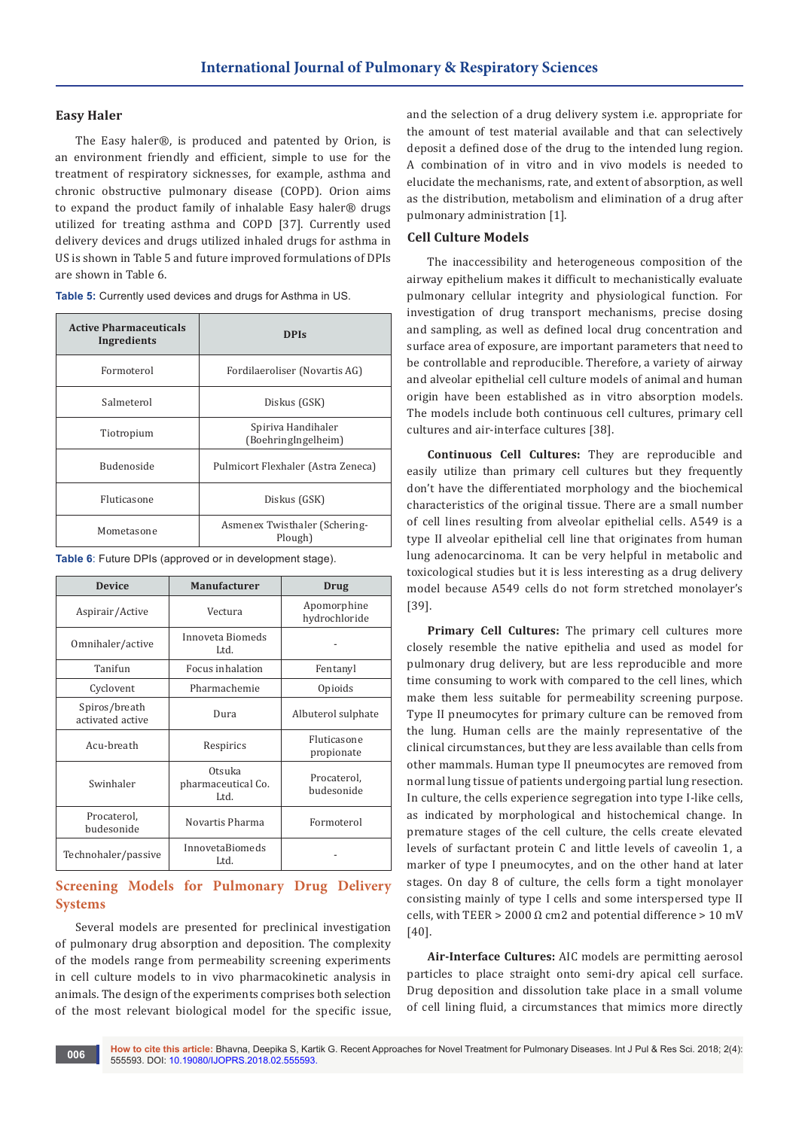## **Easy Haler**

The Easy haler®, is produced and patented by Orion, is an environment friendly and efficient, simple to use for the treatment of respiratory sicknesses, for example, asthma and chronic obstructive pulmonary disease (COPD). Orion aims to expand the product family of inhalable Easy haler® drugs utilized for treating asthma and COPD [37]. Currently used delivery devices and drugs utilized inhaled drugs for asthma in US is shown in Table 5 and future improved formulations of DPIs are shown in Table 6.

| <b>Active Pharmaceuticals</b><br>Ingredients | <b>DPIs</b>                               |
|----------------------------------------------|-------------------------------------------|
| Formoterol                                   | Fordilaeroliser (Novartis AG)             |
| Salmeterol                                   | Diskus (GSK)                              |
| Tiotropium                                   | Spiriva Handihaler<br>(BoehringIngelheim) |
| <b>Budenoside</b>                            | Pulmicort Flexhaler (Astra Zeneca)        |
| Fluticasone                                  | Diskus (GSK)                              |
| Mometasone                                   | Asmenex Twisthaler (Schering-<br>Plough)  |

**Table 5:** Currently used devices and drugs for Asthma in US.

**Table 6**: Future DPIs (approved or in development stage).

| <b>Device</b>                     | <b>Manufacturer</b>                  | Drug                         |
|-----------------------------------|--------------------------------------|------------------------------|
| Aspirair/Active                   | Vectura                              | Apomorphine<br>hydrochloride |
| Omnihaler/active                  | Innoveta Biomeds<br>Ltd.             |                              |
| Tanifun                           | Focus inhalation                     | Fentanyl                     |
| Cyclovent                         | Pharmachemie                         | Opioids                      |
| Spiros/breath<br>activated active | Dura                                 | Albuterol sulphate           |
| Acu-breath                        | Respirics                            | Fluticasone<br>propionate    |
| Swinhaler                         | Otsuka<br>pharmaceutical Co.<br>Ltd. | Procaterol,<br>budesonide    |
| Procaterol,<br>budesonide         | Novartis Pharma                      | Formoterol                   |
| Technohaler/passive               | InnovetaBiomeds<br>Ltd.              |                              |

# **Screening Models for Pulmonary Drug Delivery Systems**

Several models are presented for preclinical investigation of pulmonary drug absorption and deposition. The complexity of the models range from permeability screening experiments in cell culture models to in vivo pharmacokinetic analysis in animals. The design of the experiments comprises both selection of the most relevant biological model for the specific issue,

and the selection of a drug delivery system i.e. appropriate for the amount of test material available and that can selectively deposit a defined dose of the drug to the intended lung region. A combination of in vitro and in vivo models is needed to elucidate the mechanisms, rate, and extent of absorption, as well as the distribution, metabolism and elimination of a drug after pulmonary administration [1].

## **Cell Culture Models**

The inaccessibility and heterogeneous composition of the airway epithelium makes it difficult to mechanistically evaluate pulmonary cellular integrity and physiological function. For investigation of drug transport mechanisms, precise dosing and sampling, as well as defined local drug concentration and surface area of exposure, are important parameters that need to be controllable and reproducible. Therefore, a variety of airway and alveolar epithelial cell culture models of animal and human origin have been established as in vitro absorption models. The models include both continuous cell cultures, primary cell cultures and air-interface cultures [38].

**Continuous Cell Cultures:** They are reproducible and easily utilize than primary cell cultures but they frequently don't have the differentiated morphology and the biochemical characteristics of the original tissue. There are a small number of cell lines resulting from alveolar epithelial cells. A549 is a type II alveolar epithelial cell line that originates from human lung adenocarcinoma. It can be very helpful in metabolic and toxicological studies but it is less interesting as a drug delivery model because A549 cells do not form stretched monolayer's [39].

**Primary Cell Cultures:** The primary cell cultures more closely resemble the native epithelia and used as model for pulmonary drug delivery, but are less reproducible and more time consuming to work with compared to the cell lines, which make them less suitable for permeability screening purpose. Type II pneumocytes for primary culture can be removed from the lung. Human cells are the mainly representative of the clinical circumstances, but they are less available than cells from other mammals. Human type II pneumocytes are removed from normal lung tissue of patients undergoing partial lung resection. In culture, the cells experience segregation into type I-like cells, as indicated by morphological and histochemical change. In premature stages of the cell culture, the cells create elevated levels of surfactant protein C and little levels of caveolin 1, a marker of type I pneumocytes, and on the other hand at later stages. On day 8 of culture, the cells form a tight monolayer consisting mainly of type I cells and some interspersed type II cells, with TEER > 2000 Ω cm2 and potential difference > 10 mV [40].

**Air-Interface Cultures:** AIC models are permitting aerosol particles to place straight onto semi-dry apical cell surface. Drug deposition and dissolution take place in a small volume of cell lining fluid, a circumstances that mimics more directly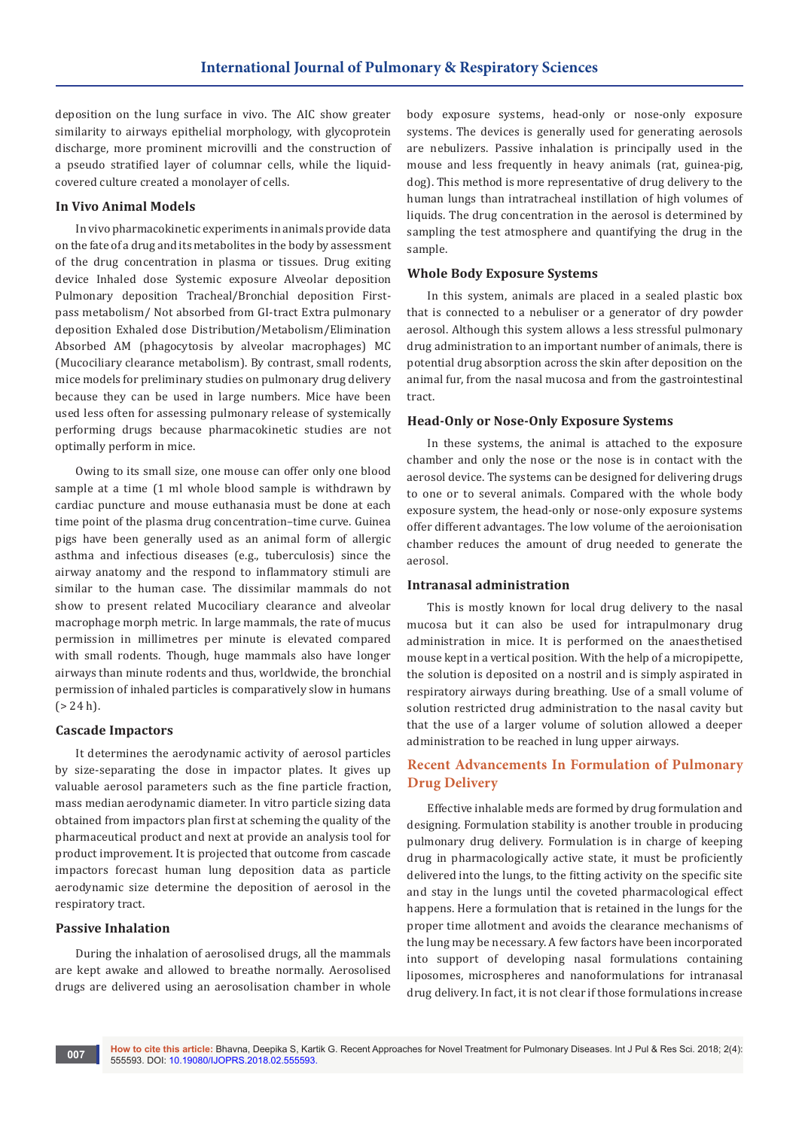deposition on the lung surface in vivo. The AIC show greater similarity to airways epithelial morphology, with glycoprotein discharge, more prominent microvilli and the construction of a pseudo stratified layer of columnar cells, while the liquidcovered culture created a monolayer of cells.

#### **In Vivo Animal Models**

In vivo pharmacokinetic experiments in animals provide data on the fate of a drug and its metabolites in the body by assessment of the drug concentration in plasma or tissues. Drug exiting device Inhaled dose Systemic exposure Alveolar deposition Pulmonary deposition Tracheal/Bronchial deposition Firstpass metabolism/ Not absorbed from GI-tract Extra pulmonary deposition Exhaled dose Distribution/Metabolism/Elimination Absorbed AM (phagocytosis by alveolar macrophages) MC (Mucociliary clearance metabolism). By contrast, small rodents, mice models for preliminary studies on pulmonary drug delivery because they can be used in large numbers. Mice have been used less often for assessing pulmonary release of systemically performing drugs because pharmacokinetic studies are not optimally perform in mice.

Owing to its small size, one mouse can offer only one blood sample at a time (1 ml whole blood sample is withdrawn by cardiac puncture and mouse euthanasia must be done at each time point of the plasma drug concentration–time curve. Guinea pigs have been generally used as an animal form of allergic asthma and infectious diseases (e.g., tuberculosis) since the airway anatomy and the respond to inflammatory stimuli are similar to the human case. The dissimilar mammals do not show to present related Mucociliary clearance and alveolar macrophage morph metric. In large mammals, the rate of mucus permission in millimetres per minute is elevated compared with small rodents. Though, huge mammals also have longer airways than minute rodents and thus, worldwide, the bronchial permission of inhaled particles is comparatively slow in humans  $( > 24 h).$ 

#### **Cascade Impactors**

It determines the aerodynamic activity of aerosol particles by size-separating the dose in impactor plates. It gives up valuable aerosol parameters such as the fine particle fraction, mass median aerodynamic diameter. In vitro particle sizing data obtained from impactors plan first at scheming the quality of the pharmaceutical product and next at provide an analysis tool for product improvement. It is projected that outcome from cascade impactors forecast human lung deposition data as particle aerodynamic size determine the deposition of aerosol in the respiratory tract.

#### **Passive Inhalation**

During the inhalation of aerosolised drugs, all the mammals are kept awake and allowed to breathe normally. Aerosolised drugs are delivered using an aerosolisation chamber in whole

body exposure systems, head-only or nose-only exposure systems. The devices is generally used for generating aerosols are nebulizers. Passive inhalation is principally used in the mouse and less frequently in heavy animals (rat, guinea-pig, dog). This method is more representative of drug delivery to the human lungs than intratracheal instillation of high volumes of liquids. The drug concentration in the aerosol is determined by sampling the test atmosphere and quantifying the drug in the sample.

#### **Whole Body Exposure Systems**

In this system, animals are placed in a sealed plastic box that is connected to a nebuliser or a generator of dry powder aerosol. Although this system allows a less stressful pulmonary drug administration to an important number of animals, there is potential drug absorption across the skin after deposition on the animal fur, from the nasal mucosa and from the gastrointestinal tract.

#### **Head-Only or Nose-Only Exposure Systems**

In these systems, the animal is attached to the exposure chamber and only the nose or the nose is in contact with the aerosol device. The systems can be designed for delivering drugs to one or to several animals. Compared with the whole body exposure system, the head-only or nose-only exposure systems offer different advantages. The low volume of the aeroionisation chamber reduces the amount of drug needed to generate the aerosol.

## **Intranasal administration**

This is mostly known for local drug delivery to the nasal mucosa but it can also be used for intrapulmonary drug administration in mice. It is performed on the anaesthetised mouse kept in a vertical position. With the help of a micropipette, the solution is deposited on a nostril and is simply aspirated in respiratory airways during breathing. Use of a small volume of solution restricted drug administration to the nasal cavity but that the use of a larger volume of solution allowed a deeper administration to be reached in lung upper airways.

# **Recent Advancements In Formulation of Pulmonary Drug Delivery**

Effective inhalable meds are formed by drug formulation and designing. Formulation stability is another trouble in producing pulmonary drug delivery. Formulation is in charge of keeping drug in pharmacologically active state, it must be proficiently delivered into the lungs, to the fitting activity on the specific site and stay in the lungs until the coveted pharmacological effect happens. Here a formulation that is retained in the lungs for the proper time allotment and avoids the clearance mechanisms of the lung may be necessary. A few factors have been incorporated into support of developing nasal formulations containing liposomes, microspheres and nanoformulations for intranasal drug delivery. In fact, it is not clear if those formulations increase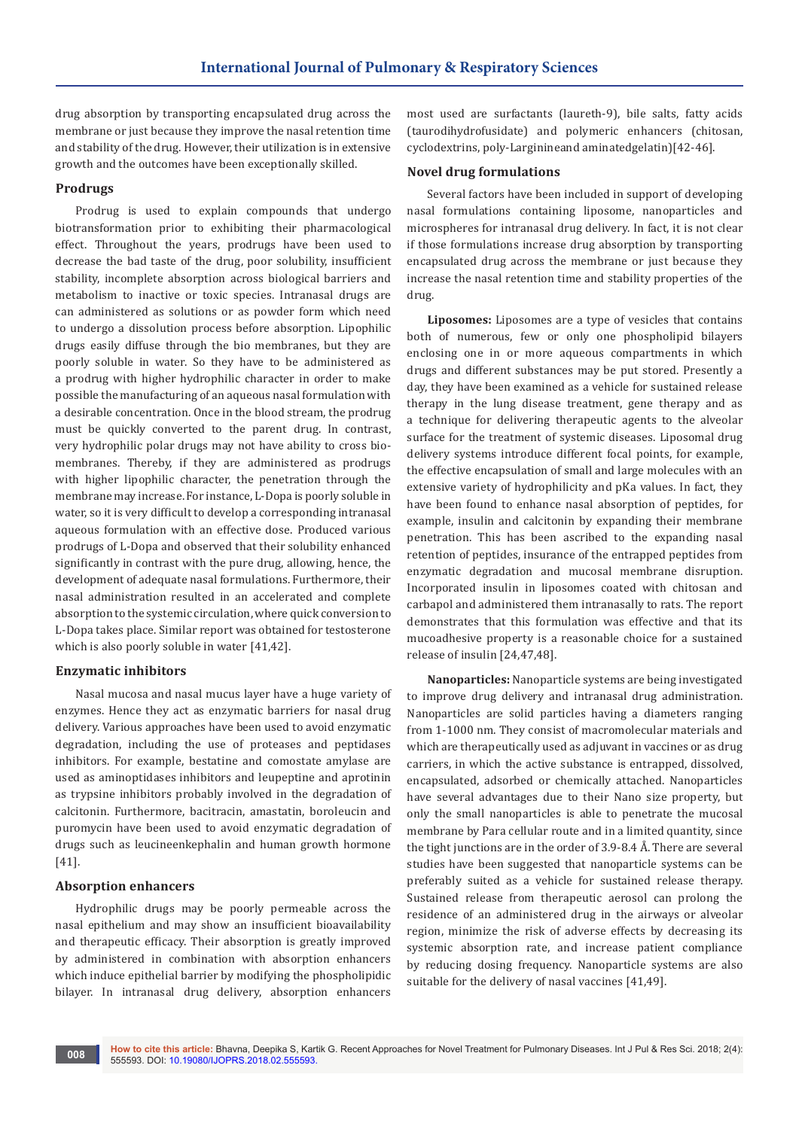drug absorption by transporting encapsulated drug across the membrane or just because they improve the nasal retention time and stability of the drug. However, their utilization is in extensive growth and the outcomes have been exceptionally skilled.

#### **Prodrugs**

Prodrug is used to explain compounds that undergo biotransformation prior to exhibiting their pharmacological effect. Throughout the years, prodrugs have been used to decrease the bad taste of the drug, poor solubility, insufficient stability, incomplete absorption across biological barriers and metabolism to inactive or toxic species. Intranasal drugs are can administered as solutions or as powder form which need to undergo a dissolution process before absorption. Lipophilic drugs easily diffuse through the bio membranes, but they are poorly soluble in water. So they have to be administered as a prodrug with higher hydrophilic character in order to make possible the manufacturing of an aqueous nasal formulation with a desirable concentration. Once in the blood stream, the prodrug must be quickly converted to the parent drug. In contrast, very hydrophilic polar drugs may not have ability to cross biomembranes. Thereby, if they are administered as prodrugs with higher lipophilic character, the penetration through the membrane may increase. For instance, L-Dopa is poorly soluble in water, so it is very difficult to develop a corresponding intranasal aqueous formulation with an effective dose. Produced various prodrugs of L-Dopa and observed that their solubility enhanced significantly in contrast with the pure drug, allowing, hence, the development of adequate nasal formulations. Furthermore, their nasal administration resulted in an accelerated and complete absorption to the systemic circulation, where quick conversion to L-Dopa takes place. Similar report was obtained for testosterone which is also poorly soluble in water [41,42].

#### **Enzymatic inhibitors**

Nasal mucosa and nasal mucus layer have a huge variety of enzymes. Hence they act as enzymatic barriers for nasal drug delivery. Various approaches have been used to avoid enzymatic degradation, including the use of proteases and peptidases inhibitors. For example, bestatine and comostate amylase are used as aminoptidases inhibitors and leupeptine and aprotinin as trypsine inhibitors probably involved in the degradation of calcitonin. Furthermore, bacitracin, amastatin, boroleucin and puromycin have been used to avoid enzymatic degradation of drugs such as leucineenkephalin and human growth hormone [41].

#### **Absorption enhancers**

Hydrophilic drugs may be poorly permeable across the nasal epithelium and may show an insufficient bioavailability and therapeutic efficacy. Their absorption is greatly improved by administered in combination with absorption enhancers which induce epithelial barrier by modifying the phospholipidic bilayer. In intranasal drug delivery, absorption enhancers

most used are surfactants (laureth-9), bile salts, fatty acids (taurodihydrofusidate) and polymeric enhancers (chitosan, cyclodextrins, poly-Larginineand aminatedgelatin)[42-46].

#### **Novel drug formulations**

Several factors have been included in support of developing nasal formulations containing liposome, nanoparticles and microspheres for intranasal drug delivery. In fact, it is not clear if those formulations increase drug absorption by transporting encapsulated drug across the membrane or just because they increase the nasal retention time and stability properties of the drug.

**Liposomes:** Liposomes are a type of vesicles that contains both of numerous, few or only one phospholipid bilayers enclosing one in or more aqueous compartments in which drugs and different substances may be put stored. Presently a day, they have been examined as a vehicle for sustained release therapy in the lung disease treatment, gene therapy and as a technique for delivering therapeutic agents to the alveolar surface for the treatment of systemic diseases. Liposomal drug delivery systems introduce different focal points, for example, the effective encapsulation of small and large molecules with an extensive variety of hydrophilicity and pKa values. In fact, they have been found to enhance nasal absorption of peptides, for example, insulin and calcitonin by expanding their membrane penetration. This has been ascribed to the expanding nasal retention of peptides, insurance of the entrapped peptides from enzymatic degradation and mucosal membrane disruption. Incorporated insulin in liposomes coated with chitosan and carbapol and administered them intranasally to rats. The report demonstrates that this formulation was effective and that its mucoadhesive property is a reasonable choice for a sustained release of insulin [24,47,48].

**Nanoparticles:** Nanoparticle systems are being investigated to improve drug delivery and intranasal drug administration. Nanoparticles are solid particles having a diameters ranging from 1-1000 nm. They consist of macromolecular materials and which are therapeutically used as adjuvant in vaccines or as drug carriers, in which the active substance is entrapped, dissolved, encapsulated, adsorbed or chemically attached. Nanoparticles have several advantages due to their Nano size property, but only the small nanoparticles is able to penetrate the mucosal membrane by Para cellular route and in a limited quantity, since the tight junctions are in the order of 3.9-8.4 Å. There are several studies have been suggested that nanoparticle systems can be preferably suited as a vehicle for sustained release therapy. Sustained release from therapeutic aerosol can prolong the residence of an administered drug in the airways or alveolar region, minimize the risk of adverse effects by decreasing its systemic absorption rate, and increase patient compliance by reducing dosing frequency. Nanoparticle systems are also suitable for the delivery of nasal vaccines [41,49].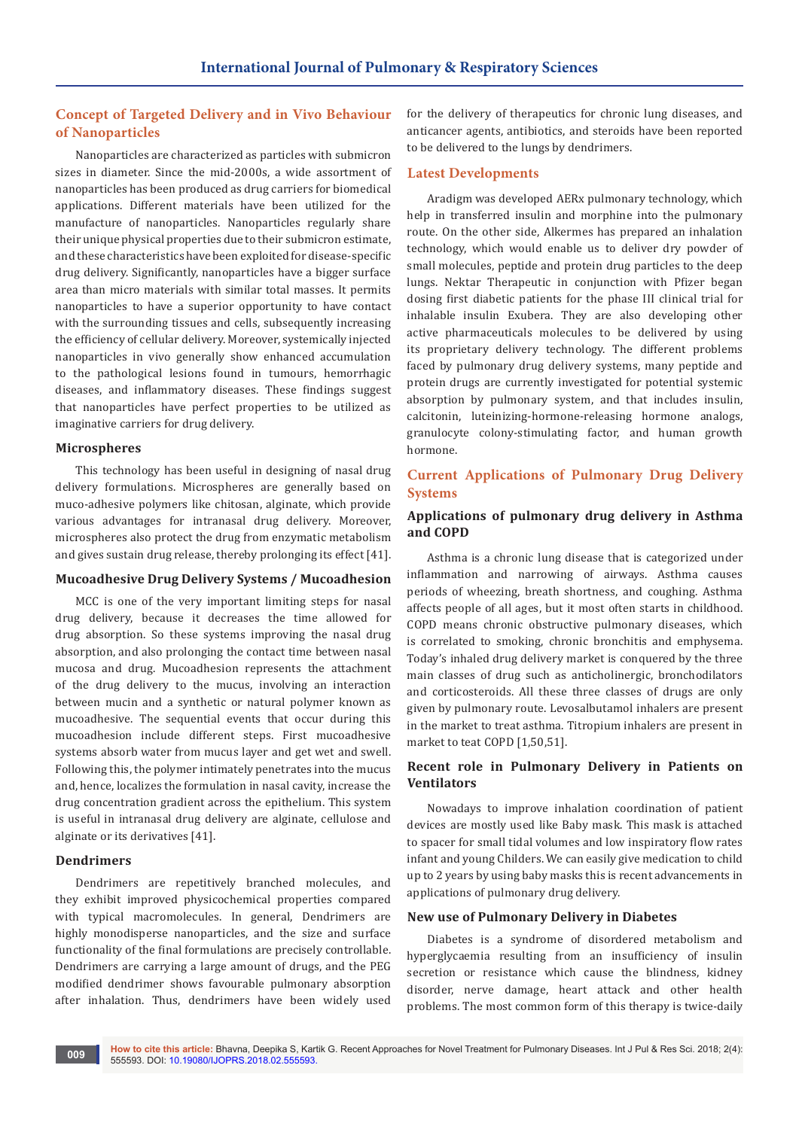# **Concept of Targeted Delivery and in Vivo Behaviour of Nanoparticles**

Nanoparticles are characterized as particles with submicron sizes in diameter. Since the mid-2000s, a wide assortment of nanoparticles has been produced as drug carriers for biomedical applications. Different materials have been utilized for the manufacture of nanoparticles. Nanoparticles regularly share their unique physical properties due to their submicron estimate, and these characteristics have been exploited for disease-specific drug delivery. Significantly, nanoparticles have a bigger surface area than micro materials with similar total masses. It permits nanoparticles to have a superior opportunity to have contact with the surrounding tissues and cells, subsequently increasing the efficiency of cellular delivery. Moreover, systemically injected nanoparticles in vivo generally show enhanced accumulation to the pathological lesions found in tumours, hemorrhagic diseases, and inflammatory diseases. These findings suggest that nanoparticles have perfect properties to be utilized as imaginative carriers for drug delivery.

## **Microspheres**

This technology has been useful in designing of nasal drug delivery formulations. Microspheres are generally based on muco-adhesive polymers like chitosan, alginate, which provide various advantages for intranasal drug delivery. Moreover, microspheres also protect the drug from enzymatic metabolism and gives sustain drug release, thereby prolonging its effect [41].

#### **Mucoadhesive Drug Delivery Systems / Mucoadhesion**

MCC is one of the very important limiting steps for nasal drug delivery, because it decreases the time allowed for drug absorption. So these systems improving the nasal drug absorption, and also prolonging the contact time between nasal mucosa and drug. Mucoadhesion represents the attachment of the drug delivery to the mucus, involving an interaction between mucin and a synthetic or natural polymer known as mucoadhesive. The sequential events that occur during this mucoadhesion include different steps. First mucoadhesive systems absorb water from mucus layer and get wet and swell. Following this, the polymer intimately penetrates into the mucus and, hence, localizes the formulation in nasal cavity, increase the drug concentration gradient across the epithelium. This system is useful in intranasal drug delivery are alginate, cellulose and alginate or its derivatives [41].

#### **Dendrimers**

Dendrimers are repetitively branched molecules, and they exhibit improved physicochemical properties compared with typical macromolecules. In general, Dendrimers are highly monodisperse nanoparticles, and the size and surface functionality of the final formulations are precisely controllable. Dendrimers are carrying a large amount of drugs, and the PEG modified dendrimer shows favourable pulmonary absorption after inhalation. Thus, dendrimers have been widely used for the delivery of therapeutics for chronic lung diseases, and anticancer agents, antibiotics, and steroids have been reported to be delivered to the lungs by dendrimers.

## **Latest Developments**

Aradigm was developed AERx pulmonary technology, which help in transferred insulin and morphine into the pulmonary route. On the other side, Alkermes has prepared an inhalation technology, which would enable us to deliver dry powder of small molecules, peptide and protein drug particles to the deep lungs. Nektar Therapeutic in conjunction with Pfizer began dosing first diabetic patients for the phase III clinical trial for inhalable insulin Exubera. They are also developing other active pharmaceuticals molecules to be delivered by using its proprietary delivery technology. The different problems faced by pulmonary drug delivery systems, many peptide and protein drugs are currently investigated for potential systemic absorption by pulmonary system, and that includes insulin, calcitonin, luteinizing-hormone-releasing hormone analogs, granulocyte colony-stimulating factor, and human growth hormone.

# **Current Applications of Pulmonary Drug Delivery Systems**

## **Applications of pulmonary drug delivery in Asthma and COPD**

Asthma is a chronic lung disease that is categorized under inflammation and narrowing of airways. Asthma causes periods of wheezing, breath shortness, and coughing. Asthma affects people of all ages, but it most often starts in childhood. COPD means chronic obstructive pulmonary diseases, which is correlated to smoking, chronic bronchitis and emphysema. Today's inhaled drug delivery market is conquered by the three main classes of drug such as anticholinergic, bronchodilators and corticosteroids. All these three classes of drugs are only given by pulmonary route. Levosalbutamol inhalers are present in the market to treat asthma. Titropium inhalers are present in market to teat COPD [1,50,51].

## **Recent role in Pulmonary Delivery in Patients on Ventilators**

Nowadays to improve inhalation coordination of patient devices are mostly used like Baby mask. This mask is attached to spacer for small tidal volumes and low inspiratory flow rates infant and young Childers. We can easily give medication to child up to 2 years by using baby masks this is recent advancements in applications of pulmonary drug delivery.

#### **New use of Pulmonary Delivery in Diabetes**

Diabetes is a syndrome of disordered metabolism and hyperglycaemia resulting from an insufficiency of insulin secretion or resistance which cause the blindness, kidney disorder, nerve damage, heart attack and other health problems. The most common form of this therapy is twice-daily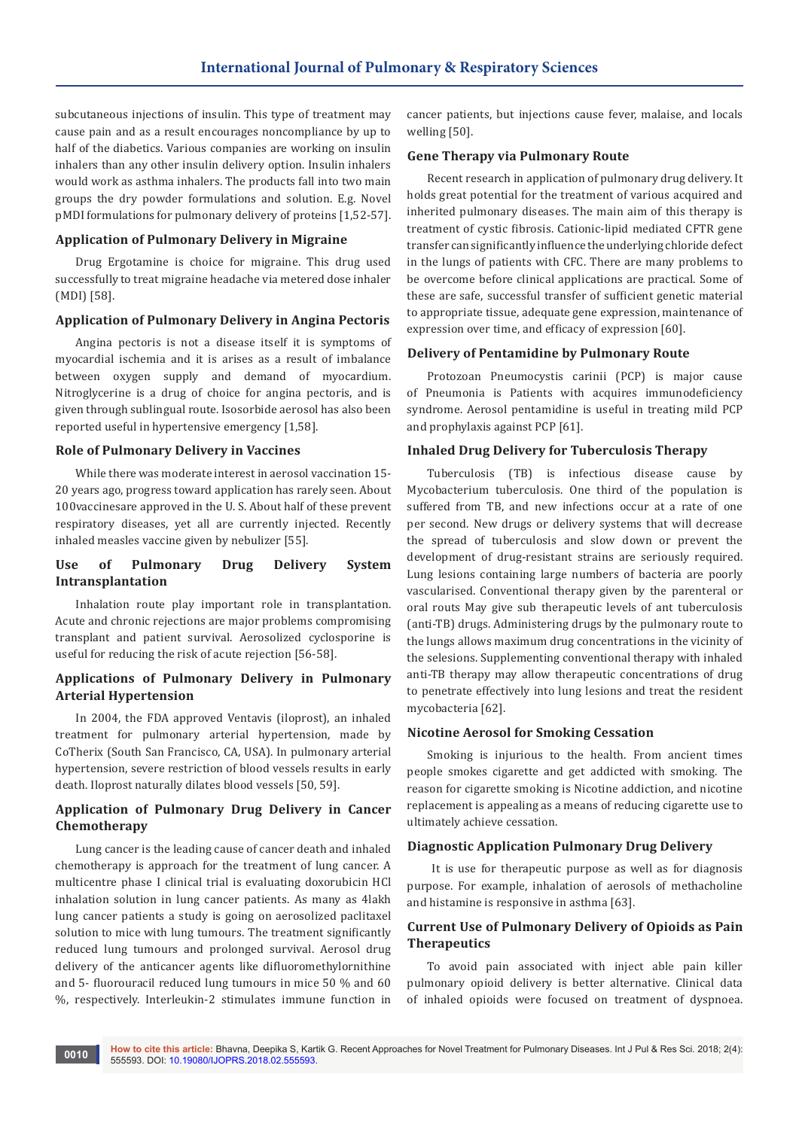subcutaneous injections of insulin. This type of treatment may cause pain and as a result encourages noncompliance by up to half of the diabetics. Various companies are working on insulin inhalers than any other insulin delivery option. Insulin inhalers would work as asthma inhalers. The products fall into two main groups the dry powder formulations and solution. E.g. Novel pMDI formulations for pulmonary delivery of proteins [1,52-57].

#### **Application of Pulmonary Delivery in Migraine**

Drug Ergotamine is choice for migraine. This drug used successfully to treat migraine headache via metered dose inhaler (MDI) [58].

# **Application of Pulmonary Delivery in Angina Pectoris**

Angina pectoris is not a disease itself it is symptoms of myocardial ischemia and it is arises as a result of imbalance between oxygen supply and demand of myocardium. Nitroglycerine is a drug of choice for angina pectoris, and is given through sublingual route. Isosorbide aerosol has also been reported useful in hypertensive emergency [1,58].

#### **Role of Pulmonary Delivery in Vaccines**

While there was moderate interest in aerosol vaccination 15- 20 years ago, progress toward application has rarely seen. About 100vaccinesare approved in the U. S. About half of these prevent respiratory diseases, yet all are currently injected. Recently inhaled measles vaccine given by nebulizer [55].

## **Use of Pulmonary Drug Delivery System Intransplantation**

Inhalation route play important role in transplantation. Acute and chronic rejections are major problems compromising transplant and patient survival. Aerosolized cyclosporine is useful for reducing the risk of acute rejection [56-58].

## **Applications of Pulmonary Delivery in Pulmonary Arterial Hypertension**

In 2004, the FDA approved Ventavis (iloprost), an inhaled treatment for pulmonary arterial hypertension, made by CoTherix (South San Francisco, CA, USA). In pulmonary arterial hypertension, severe restriction of blood vessels results in early death. Iloprost naturally dilates blood vessels [50, 59].

## **Application of Pulmonary Drug Delivery in Cancer Chemotherapy**

Lung cancer is the leading cause of cancer death and inhaled chemotherapy is approach for the treatment of lung cancer. A multicentre phase I clinical trial is evaluating doxorubicin HCl inhalation solution in lung cancer patients. As many as 4lakh lung cancer patients a study is going on aerosolized paclitaxel solution to mice with lung tumours. The treatment significantly reduced lung tumours and prolonged survival. Aerosol drug delivery of the anticancer agents like difluoromethylornithine and 5- fluorouracil reduced lung tumours in mice 50 % and 60 %, respectively. Interleukin-2 stimulates immune function in

cancer patients, but injections cause fever, malaise, and locals welling [50].

#### **Gene Therapy via Pulmonary Route**

Recent research in application of pulmonary drug delivery. It holds great potential for the treatment of various acquired and inherited pulmonary diseases. The main aim of this therapy is treatment of cystic fibrosis. Cationic-lipid mediated CFTR gene transfer can significantly influence the underlying chloride defect in the lungs of patients with CFC. There are many problems to be overcome before clinical applications are practical. Some of these are safe, successful transfer of sufficient genetic material to appropriate tissue, adequate gene expression, maintenance of expression over time, and efficacy of expression [60].

#### **Delivery of Pentamidine by Pulmonary Route**

Protozoan Pneumocystis carinii (PCP) is major cause of Pneumonia is Patients with acquires immunodeficiency syndrome. Aerosol pentamidine is useful in treating mild PCP and prophylaxis against PCP [61].

#### **Inhaled Drug Delivery for Tuberculosis Therapy**

Tuberculosis (TB) is infectious disease cause by Mycobacterium tuberculosis. One third of the population is suffered from TB, and new infections occur at a rate of one per second. New drugs or delivery systems that will decrease the spread of tuberculosis and slow down or prevent the development of drug-resistant strains are seriously required. Lung lesions containing large numbers of bacteria are poorly vascularised. Conventional therapy given by the parenteral or oral routs May give sub therapeutic levels of ant tuberculosis (anti-TB) drugs. Administering drugs by the pulmonary route to the lungs allows maximum drug concentrations in the vicinity of the selesions. Supplementing conventional therapy with inhaled anti-TB therapy may allow therapeutic concentrations of drug to penetrate effectively into lung lesions and treat the resident mycobacteria [62].

## **Nicotine Aerosol for Smoking Cessation**

Smoking is injurious to the health. From ancient times people smokes cigarette and get addicted with smoking. The reason for cigarette smoking is Nicotine addiction, and nicotine replacement is appealing as a means of reducing cigarette use to ultimately achieve cessation.

#### **Diagnostic Application Pulmonary Drug Delivery**

 It is use for therapeutic purpose as well as for diagnosis purpose. For example, inhalation of aerosols of methacholine and histamine is responsive in asthma [63].

## **Current Use of Pulmonary Delivery of Opioids as Pain Therapeutics**

To avoid pain associated with inject able pain killer pulmonary opioid delivery is better alternative. Clinical data of inhaled opioids were focused on treatment of dyspnoea.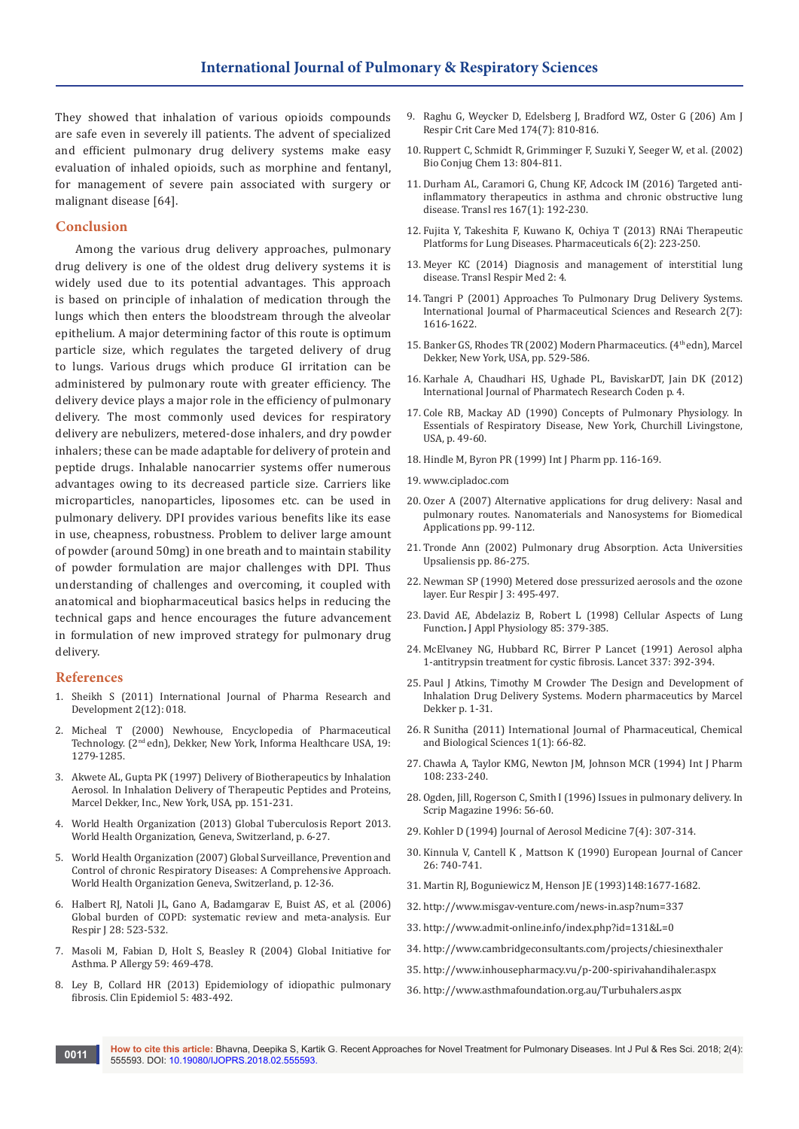They showed that inhalation of various opioids compounds are safe even in severely ill patients. The advent of specialized and efficient pulmonary drug delivery systems make easy evaluation of inhaled opioids, such as morphine and fentanyl, for management of severe pain associated with surgery or malignant disease [64].

## **Conclusion**

Among the various drug delivery approaches, pulmonary drug delivery is one of the oldest drug delivery systems it is widely used due to its potential advantages. This approach is based on principle of inhalation of medication through the lungs which then enters the bloodstream through the alveolar epithelium. A major determining factor of this route is optimum particle size, which regulates the targeted delivery of drug to lungs. Various drugs which produce GI irritation can be administered by pulmonary route with greater efficiency. The delivery device plays a major role in the efficiency of pulmonary delivery. The most commonly used devices for respiratory delivery are nebulizers, metered-dose inhalers, and dry powder inhalers; these can be made adaptable for delivery of protein and peptide drugs. Inhalable nanocarrier systems offer numerous advantages owing to its decreased particle size. Carriers like microparticles, nanoparticles, liposomes etc. can be used in pulmonary delivery. DPI provides various benefits like its ease in use, cheapness, robustness. Problem to deliver large amount of powder (around 50mg) in one breath and to maintain stability of powder formulation are major challenges with DPI. Thus understanding of challenges and overcoming, it coupled with anatomical and biopharmaceutical basics helps in reducing the technical gaps and hence encourages the future advancement in formulation of new improved strategy for pulmonary drug delivery.

#### **References**

- 1. Sheikh S (2011) International Journal of Pharma Research and Development 2(12): 018.
- 2. Micheal T (2000) Newhouse, Encyclopedia of Pharmaceutical Technology. (2nd edn), Dekker, New York, Informa Healthcare USA, 19: 1279-1285.
- 3. Akwete AL, Gupta PK (1997) Delivery of Biotherapeutics by Inhalation Aerosol. In Inhalation Delivery of Therapeutic Peptides and Proteins, Marcel Dekker, Inc., New York, USA, pp. 151-231.
- 4. World Health Organization (2013) Global Tuberculosis Report 2013. World Health Organization, Geneva, Switzerland, p. 6-27.
- 5. World Health Organization (2007) Global Surveillance, Prevention and Control of chronic Respiratory Diseases: A Comprehensive Approach. World Health Organization Geneva, Switzerland, p. 12-36.
- 6. [Halbert RJ, Natoli JL, Gano A, Badamgarav E, Buist AS, et al. \(2006\)](https://www.ncbi.nlm.nih.gov/pubmed/16611654)  [Global burden of COPD: systematic review and meta-analysis. Eur](https://www.ncbi.nlm.nih.gov/pubmed/16611654)  [Respir J 28: 523-532.](https://www.ncbi.nlm.nih.gov/pubmed/16611654)
- 7. Masoli M, Fabian D, Holt S, Beasley R (2004) Global Initiative for Asthma. P Allergy 59: 469-478.
- 8. [Ley B, Collard HR \(2013\) Epidemiology of idiopathic pulmonary](https://www.ncbi.nlm.nih.gov/pubmed/24348069)  [fibrosis. Clin Epidemiol 5: 483-492.](https://www.ncbi.nlm.nih.gov/pubmed/24348069)
- 9. [Raghu G, Weycker D, Edelsberg J, Bradford WZ, Oster G \(206\) Am J](https://www.ncbi.nlm.nih.gov/pubmed/16809633)  [Respir Crit Care Med 174\(7\): 810-816.](https://www.ncbi.nlm.nih.gov/pubmed/16809633)
- 10. Ruppert C, Schmidt R, Grimminger F, Suzuki Y, Seeger W, et al. (2002) Bio Conjug Chem 13: 804-811.
- 11. [Durham AL, Caramori G, Chung KF, Adcock IM \(2016\) Targeted anti](https://www.ncbi.nlm.nih.gov/pubmed/26334389)[inflammatory therapeutics in asthma and chronic obstructive lung](https://www.ncbi.nlm.nih.gov/pubmed/26334389)  [disease. Transl res 167\(1\): 192-230.](https://www.ncbi.nlm.nih.gov/pubmed/26334389)
- 12. [Fujita Y, Takeshita F, Kuwano K, Ochiya T \(2013\) RNAi Therapeutic](http://www.mdpi.com/1424-8247/6/2/223)  [Platforms for Lung Diseases. Pharmaceuticals 6\(2\): 223-250.](http://www.mdpi.com/1424-8247/6/2/223)
- 13. [Meyer KC \(2014\) Diagnosis and management of interstitial lung](https://www.ncbi.nlm.nih.gov/pubmed/25505696/)  [disease. Transl Respir Med 2: 4.](https://www.ncbi.nlm.nih.gov/pubmed/25505696/)
- 14. Tangri P (2001) Approaches To Pulmonary Drug Delivery Systems. International Journal of Pharmaceutical Sciences and Research 2(7): 1616-1622.
- 15. [Banker GS, Rhodes TR \(2002\) Modern Pharmaceutics. \(4](http://www.ajprd.com/downloadebooks_pdf/32.pdf)<sup>th</sup> edn), Marcel [Dekker, New York, USA, pp. 529-586.](http://www.ajprd.com/downloadebooks_pdf/32.pdf)
- 16. Karhale A, Chaudhari HS, Ughade PL, BaviskarDT, Jain DK (2012) International Journal of Pharmatech Research Coden p. 4.
- 17. Cole RB, Mackay AD (1990) Concepts of Pulmonary Physiology. In Essentials of Respiratory Disease, New York, Churchill Livingstone, USA, p. 49-60.
- 18. Hindle M, Byron PR (1999) Int J Pharm pp. 116-169.
- 19. www.cipladoc.com
- 20. [Ozer A \(2007\) Alternative applications for drug delivery: Nasal and](https://link.springer.com/chapter/10.1007/978-1-4020-6289-6_6)  [pulmonary routes. Nanomaterials and Nanosystems for Biomedical](https://link.springer.com/chapter/10.1007/978-1-4020-6289-6_6)  [Applications pp. 99-112.](https://link.springer.com/chapter/10.1007/978-1-4020-6289-6_6)
- 21. [Tronde Ann \(2002\) Pulmonary drug Absorption. Acta Universities](https://www.diva-portal.org/smash/get/diva2:161887/FULLTEXT01.pdf)  [Upsaliensis pp. 86-275.](https://www.diva-portal.org/smash/get/diva2:161887/FULLTEXT01.pdf)
- 22. [Newman SP \(1990\) Metered dose pressurized aerosols and the ozone](https://pdfs.semanticscholar.org/c477/5dff9a33ded72394ddeb3a97bdceb6f6ef60.pdf)  [layer. Eur Respir J 3: 495-497.](https://pdfs.semanticscholar.org/c477/5dff9a33ded72394ddeb3a97bdceb6f6ef60.pdf)
- 23. [David AE, Abdelaziz B, Robert L \(1998\) Cellular Aspects of Lung](http://www.physiology.org/toc/jappl/85/2)  Function**.** [J Appl Physiology 85: 379-385.](http://www.physiology.org/toc/jappl/85/2)
- 24. [McElvaney NG, Hubbard RC, Birrer P Lancet \(1991\) Aerosol alpha](https://www.ncbi.nlm.nih.gov/pubmed/1671425)  [1-antitrypsin treatment for cystic fibrosis. Lancet 337: 392-394.](https://www.ncbi.nlm.nih.gov/pubmed/1671425)
- 25. Paul J Atkins, Timothy M Crowder The Design and Development of Inhalation Drug Delivery Systems. Modern pharmaceutics by Marcel Dekker p. 1-31.
- 26. R Sunitha (2011) International Journal of Pharmaceutical, Chemical and Biological Sciences 1(1): 66-82.
- 27. Chawla A, Taylor KMG, Newton JM, Johnson MCR (1994) Int J Pharm 108: 233-240.
- 28. Ogden, Jill, Rogerson C, Smith I (1996) Issues in pulmonary delivery. In Scrip Magazine 1996: 56-60.
- 29. Kohler D (1994) Journal of Aerosol Medicine 7(4): 307-314.
- 30. Kinnula V, Cantell K , Mattson K (1990) European Journal of Cancer 26: 740-741.
- 31. Martin RJ, Boguniewicz M, Henson JE (1993)148:1677-1682.
- 32. http://www.misgav-venture.com/news-in.asp?num=337
- 33. http://www.admit-online.info/index.php?id=131&L=0
- 34. http://www.cambridgeconsultants.com/projects/chiesinexthaler
- 35. http://www.inhousepharmacy.vu/p-200-spirivahandihaler.aspx
- 36. http://www.asthmafoundation.org.au/Turbuhalers.aspx